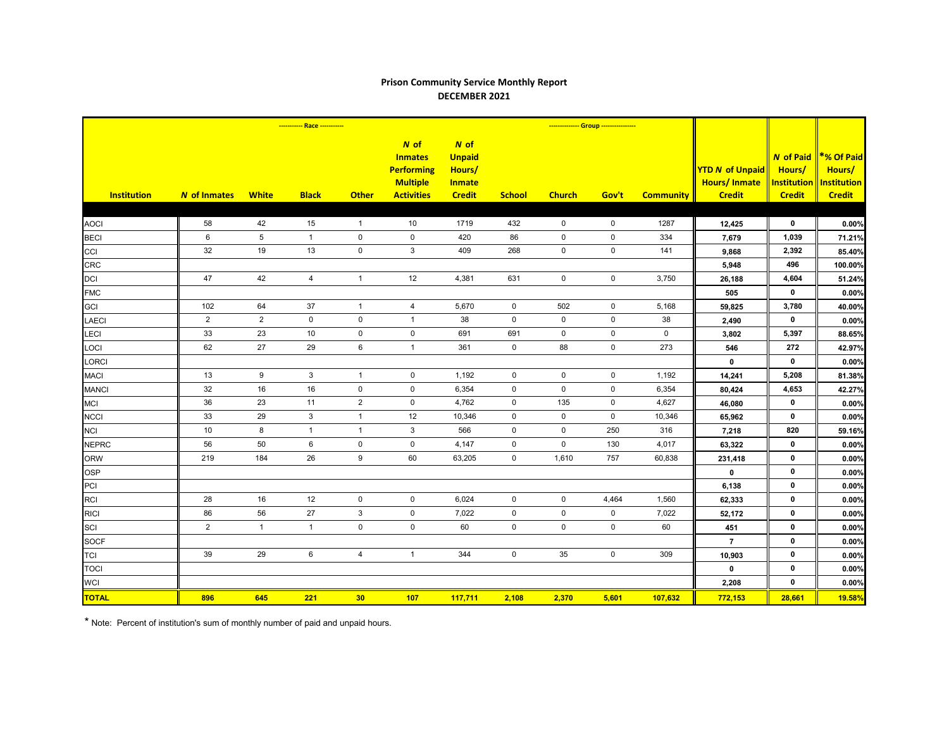## **Prison Community Service Monthly Report DECEMBER 2021**

|                    |                     |                 | ----------- Race ----------- |                  |                                                                                     |                                                                   |                     |                     | -------------- Group ---------------- |                  |                                                                |                                                            |                                                             |
|--------------------|---------------------|-----------------|------------------------------|------------------|-------------------------------------------------------------------------------------|-------------------------------------------------------------------|---------------------|---------------------|---------------------------------------|------------------|----------------------------------------------------------------|------------------------------------------------------------|-------------------------------------------------------------|
| <b>Institution</b> | <b>N</b> of Inmates | <b>White</b>    | <b>Black</b>                 | <b>Other</b>     | N of<br><b>Inmates</b><br><b>Performing</b><br><b>Multiple</b><br><b>Activities</b> | N of<br><b>Unpaid</b><br>Hours/<br><b>Inmate</b><br><b>Credit</b> | <b>School</b>       | <b>Church</b>       | Gov't                                 | <b>Community</b> | <b>YTD N of Unpaid</b><br><b>Hours/Inmate</b><br><b>Credit</b> | <b>N</b> of Paid<br>Hours/<br>Institution<br><b>Credit</b> | *% Of Paid<br>Hours/<br><b>Institution</b><br><b>Credit</b> |
|                    |                     |                 |                              |                  |                                                                                     |                                                                   |                     |                     |                                       |                  |                                                                |                                                            |                                                             |
| <b>AOCI</b>        | 58                  | 42              | 15                           | $\overline{1}$   | 10                                                                                  | 1719                                                              | 432                 | $\mathbf 0$         | $\mathsf 0$                           | 1287             | 12,425                                                         | $\mathbf 0$                                                | 0.00%                                                       |
| <b>BECI</b>        | 6                   | $5\phantom{.0}$ | $\mathbf{1}$                 | $\mathbf 0$      | $\mathbf 0$                                                                         | 420                                                               | 86                  | $\mathbf 0$         | $\mathbf 0$                           | 334              | 7,679                                                          | 1,039                                                      | 71.21%                                                      |
| CCI                | 32                  | 19              | 13                           | $\mathbf 0$      | 3                                                                                   | 409                                                               | 268                 | 0                   | $\mathbf 0$                           | 141              | 9,868                                                          | 2,392                                                      | 85.40%                                                      |
| CRC                |                     |                 |                              |                  |                                                                                     |                                                                   |                     |                     |                                       |                  | 5,948                                                          | 496                                                        | 100.00%                                                     |
| <b>DCI</b>         | 47                  | 42              | $\overline{4}$               | $\mathbf{1}$     | 12                                                                                  | 4,381                                                             | 631                 | $\mathbf 0$         | $\mathsf 0$                           | 3,750            | 26,188                                                         | 4,604                                                      | 51.24%                                                      |
| <b>FMC</b>         |                     |                 |                              |                  |                                                                                     |                                                                   |                     |                     |                                       |                  | 505                                                            | $\mathbf 0$                                                | 0.00%                                                       |
| <b>GCI</b>         | 102                 | 64              | 37                           | $\mathbf{1}$     | $\overline{4}$                                                                      | 5,670                                                             | $\mathbf 0$         | 502                 | $\mathsf 0$                           | 5,168            | 59,825                                                         | 3,780                                                      | 40.00%                                                      |
| <b>LAECI</b>       | $\overline{2}$      | $\overline{2}$  | $\mathbf 0$                  | 0                | $\mathbf{1}$                                                                        | 38                                                                | $\mathbf 0$         | $\mathbf 0$         | $\mathbf 0$                           | 38               | 2,490                                                          | $\mathbf 0$                                                | 0.00%                                                       |
| LECI               | 33                  | 23              | 10                           | $\pmb{0}$        | $\mathsf{O}\xspace$                                                                 | 691                                                               | 691                 | $\mathsf{O}\xspace$ | $\mathbf 0$                           | $\mathbf 0$      | 3,802                                                          | 5,397                                                      | 88.65%                                                      |
| LOCI               | 62                  | 27              | 29                           | $\,6\,$          | $\overline{1}$                                                                      | 361                                                               | $\mathsf{O}$        | 88                  | $\mathbf 0$                           | 273              | 546                                                            | 272                                                        | 42.97%                                                      |
| LORCI              |                     |                 |                              |                  |                                                                                     |                                                                   |                     |                     |                                       |                  | $\mathbf 0$                                                    | $\mathbf 0$                                                | 0.00%                                                       |
| <b>MACI</b>        | 13                  | 9               | $\mathbf{3}$                 | $\overline{1}$   | $\mathbf 0$                                                                         | 1,192                                                             | $\mathbf 0$         | $\mathbf 0$         | $\mathbf 0$                           | 1,192            | 14,241                                                         | 5,208                                                      | 81.38%                                                      |
| <b>MANCI</b>       | 32                  | 16              | 16                           | $\mathbf 0$      | $\mathbf 0$                                                                         | 6,354                                                             | $\overline{0}$      | $\mathbf 0$         | $\mathbf 0$                           | 6,354            | 80,424                                                         | 4,653                                                      | 42.27%                                                      |
| <b>MCI</b>         | 36                  | 23              | 11                           | $\overline{2}$   | $\mathbf 0$                                                                         | 4,762                                                             | $\mathbf 0$         | 135                 | $\mathbf 0$                           | 4,627            | 46,080                                                         | $\mathbf 0$                                                | 0.00%                                                       |
| <b>NCCI</b>        | 33                  | 29              | 3                            | $\mathbf{1}$     | 12                                                                                  | 10,346                                                            | $\mathbf 0$         | $\mathbf 0$         | $\mathbf 0$                           | 10,346           | 65,962                                                         | $\mathbf 0$                                                | 0.00%                                                       |
| <b>NCI</b>         | 10 <sup>°</sup>     | 8               | $\mathbf{1}$                 | $\mathbf{1}$     | 3                                                                                   | 566                                                               | $\mathbf 0$         | $\mathbf 0$         | 250                                   | 316              | 7,218                                                          | 820                                                        | 59.16%                                                      |
| <b>NEPRC</b>       | 56                  | 50              | 6                            | $\mathbf 0$      | $\pmb{0}$                                                                           | 4,147                                                             | $\mathbf 0$         | 0                   | 130                                   | 4,017            | 63,322                                                         | $\mathbf 0$                                                | 0.00%                                                       |
| <b>ORW</b>         | 219                 | 184             | 26                           | $\boldsymbol{9}$ | 60                                                                                  | 63,205                                                            | $\mathsf{O}\xspace$ | 1,610               | 757                                   | 60,838           | 231,418                                                        | $\mathbf 0$                                                | 0.00%                                                       |
| <b>OSP</b>         |                     |                 |                              |                  |                                                                                     |                                                                   |                     |                     |                                       |                  | $\mathbf 0$                                                    | $\mathbf 0$                                                | 0.00%                                                       |
| PCI                |                     |                 |                              |                  |                                                                                     |                                                                   |                     |                     |                                       |                  | 6,138                                                          | $\mathbf 0$                                                | 0.00%                                                       |
| <b>RCI</b>         | 28                  | 16              | 12                           | $\mathsf 0$      | $\mathbf 0$                                                                         | 6,024                                                             | $\mathbf 0$         | $\mathbf 0$         | 4,464                                 | 1,560            | 62,333                                                         | $\mathbf 0$                                                | 0.00%                                                       |
| <b>RICI</b>        | 86                  | 56              | 27                           | $\mathsf 3$      | $\mathbf 0$                                                                         | 7,022                                                             | $\mathsf{O}$        | $\mathbf 0$         | $\mathbf 0$                           | 7,022            | 52,172                                                         | $\mathbf 0$                                                | 0.00%                                                       |
| SCI                | $\overline{2}$      | $\mathbf{1}$    | $\mathbf{1}$                 | $\mathsf 0$      | $\mathsf 0$                                                                         | 60                                                                | $\mathbf 0$         | $\mathbf 0$         | $\mathbf 0$                           | 60               | 451                                                            | 0                                                          | 0.00%                                                       |
| <b>SOCF</b>        |                     |                 |                              |                  |                                                                                     |                                                                   |                     |                     |                                       |                  | $\overline{7}$                                                 | $\mathbf 0$                                                | 0.00%                                                       |
| <b>TCI</b>         | 39                  | 29              | 6                            | $\overline{4}$   | $\overline{1}$                                                                      | 344                                                               | $\mathbf 0$         | 35                  | $\mathbf 0$                           | 309              | 10,903                                                         | $\mathbf 0$                                                | 0.00%                                                       |
| <b>TOCI</b>        |                     |                 |                              |                  |                                                                                     |                                                                   |                     |                     |                                       |                  | $\mathbf 0$                                                    | $\mathbf 0$                                                | 0.00%                                                       |
| <b>WCI</b>         |                     |                 |                              |                  |                                                                                     |                                                                   |                     |                     |                                       |                  | 2,208                                                          | $\mathbf 0$                                                | 0.00%                                                       |
| <b>TOTAL</b>       | 896                 | 645             | 221                          | 30               | 107                                                                                 | 117,711                                                           | 2,108               | 2,370               | 5,601                                 | 107,632          | 772,153                                                        | 28,661                                                     | <b>19.58%</b>                                               |

\* Note: Percent of institution's sum of monthly number of paid and unpaid hours.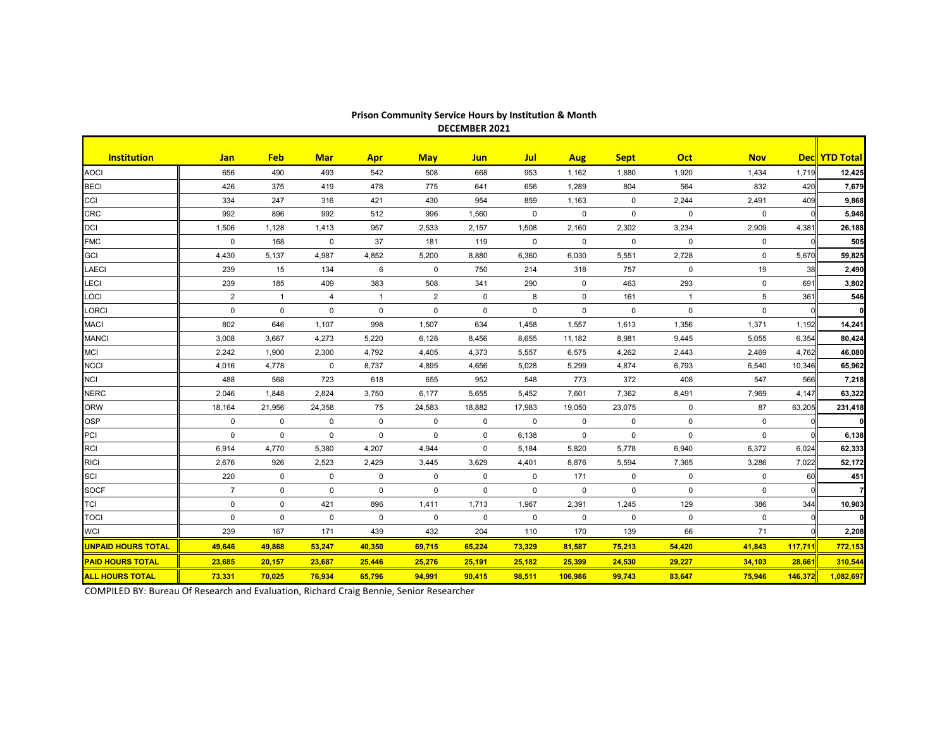| <b>Institution</b>        | Jan            | <b>Feb</b>   | <b>Mar</b>  | <b>Apr</b>     | <b>May</b>     | <b>Jun</b>   | <b>Jul</b>  | <b>Aug</b>  | <b>Sept</b> | <b>Oct</b>     | <b>Nov</b>  |         | Dec YTD Total |
|---------------------------|----------------|--------------|-------------|----------------|----------------|--------------|-------------|-------------|-------------|----------------|-------------|---------|---------------|
| <b>AOCI</b>               | 656            | 490          | 493         | 542            | 508            | 668          | 953         | 1,162       | 1,880       | 1,920          | 1,434       | 1,719   | 12,425        |
| <b>BECI</b>               | 426            | 375          | 419         | 478            | 775            | 641          | 656         | 1,289       | 804         | 564            | 832         | 420     | 7,679         |
| CCI                       | 334            | 247          | 316         | 421            | 430            | 954          | 859         | 1,163       | 0           | 2,244          | 2,491       | 409     | 9,868         |
| <b>CRC</b>                | 992            | 896          | 992         | 512            | 996            | 1,560        | $\mathbf 0$ | $\mathbf 0$ | 0           | 0              | $\mathbf 0$ |         | 5,948         |
| <b>DCI</b>                | 1,506          | 1,128        | 1,413       | 957            | 2,533          | 2,157        | 1,508       | 2,160       | 2,302       | 3,234          | 2,909       | 4,381   | 26,188        |
| <b>FMC</b>                | 0              | 168          | 0           | 37             | 181            | 119          | 0           | $\mathbf 0$ | 0           | 0              | 0           |         | 505           |
| <b>GCI</b>                | 4,430          | 5,137        | 4,987       | 4,852          | 5,200          | 8,880        | 6,360       | 6,030       | 5,551       | 2,728          | $\mathbf 0$ | 5,670   | 59,825        |
| LAECI                     | 239            | 15           | 134         | 6              | $\mathbf 0$    | 750          | 214         | 318         | 757         | 0              | 19          | 38      | 2,490         |
| LECI                      | 239            | 185          | 409         | 383            | 508            | 341          | 290         | $\mathbf 0$ | 463         | 293            | 0           | 691     | 3,802         |
| LOCI                      | $\overline{2}$ | $\mathbf{1}$ | 4           | $\overline{1}$ | $\overline{2}$ | $\mathbf 0$  | 8           | 0           | 161         | $\overline{1}$ | 5           | 361     | 546           |
| LORCI                     | 0              | $\mathbf{0}$ | $\Omega$    | $\mathbf 0$    | $\mathbf 0$    | 0            | $\mathbf 0$ | $\Omega$    | $\mathbf 0$ | 0              | $\Omega$    |         | 0 I           |
| <b>MACI</b>               | 802            | 646          | 1,107       | 998            | 1,507          | 634          | 1,458       | 1,557       | 1,613       | 1,356          | 1,371       | 1,192   | 14,241        |
| <b>MANCI</b>              | 3,008          | 3,667        | 4,273       | 5,220          | 6,128          | 8,456        | 8,655       | 11,182      | 8,981       | 9,445          | 5,055       | 6,354   | 80,424        |
| MCI                       | 2,242          | 1,900        | 2,300       | 4,792          | 4,405          | 4,373        | 5,557       | 6,575       | 4,262       | 2,443          | 2,469       | 4,762   | 46,080        |
| NCCI                      | 4,016          | 4,778        | $\mathbf 0$ | 8,737          | 4,895          | 4,656        | 5,028       | 5.299       | 4,874       | 6,793          | 6,540       | 10.346  | 65,962        |
| <b>NCI</b>                | 488            | 568          | 723         | 618            | 655            | 952          | 548         | 773         | 372         | 408            | 547         | 566     | 7,218         |
| <b>NERC</b>               | 2,046          | 1,848        | 2,824       | 3,750          | 6,177          | 5,655        | 5,452       | 7,601       | 7,362       | 8,491          | 7,969       | 4.147   | 63,322        |
| <b>ORW</b>                | 18,164         | 21,956       | 24,358      | 75             | 24,583         | 18,882       | 17,983      | 19,050      | 23,075      | $\mathbf 0$    | 87          | 63,205  | 231,418       |
| <b>OSP</b>                | $\mathbf 0$    | $\mathbf 0$  | $\mathbf 0$ | $\mathbf 0$    | $\mathbf 0$    | $\mathsf{O}$ | $\mathbf 0$ | $\mathbf 0$ | $\mathbf 0$ | 0              | 0           |         | οl            |
| PCI                       | $\mathbf 0$    | $\mathbf 0$  | $\mathbf 0$ | $\mathbf 0$    | $\mathbf 0$    | $\mathsf{O}$ | 6,138       | $\mathbf 0$ | $\mathbf 0$ | $\mathbf 0$    | 0           |         | 6,138         |
| <b>RCI</b>                | 6,914          | 4,770        | 5,380       | 4,207          | 4,944          | $\mathsf{O}$ | 5,184       | 5,820       | 5,778       | 6,940          | 6,372       | 6,024   | 62,333        |
| <b>RICI</b>               | 2,676          | 926          | 2,523       | 2,429          | 3,445          | 3,629        | 4,401       | 8,876       | 5,594       | 7,365          | 3,286       | 7,022   | 52,172        |
| SCI                       | 220            | $\mathbf 0$  | $\mathbf 0$ | $\mathbf 0$    | $\mathbf 0$    | $\mathsf{O}$ | $\mathbf 0$ | 171         | $\mathbf 0$ | 0              | $\mathbf 0$ | 60      | 451           |
| <b>SOCF</b>               | $\overline{7}$ | $\mathbf 0$  | $\mathbf 0$ | $\mathbf 0$    | $\Omega$       | $\mathbf 0$  | $\mathbf 0$ | $\mathbf 0$ | $\pmb{0}$   | 0              | $\mathbf 0$ |         |               |
| <b>TCI</b>                | $\mathbf 0$    | $\mathbf 0$  | 421         | 896            | 1,411          | 1,713        | 1,967       | 2,391       | 1,245       | 129            | 386         | 344     | 10,903        |
| <b>TOCI</b>               | $\mathbf 0$    | $\mathbf 0$  | $\mathbf 0$ | $\mathbf 0$    | $\mathbf 0$    | $\mathbf 0$  | $\mathbf 0$ | $\mathbf 0$ | $\mathbf 0$ | $\mathbf 0$    | $\mathbf 0$ |         | ΟI            |
| <b>WCI</b>                | 239            | 167          | 171         | 439            | 432            | 204          | 110         | 170         | 139         | 66             | 71          |         | 2,208         |
| <b>UNPAID HOURS TOTAL</b> | 49,646         | 49,868       | 53,247      | 40,350         | 69,715         | 65,224       | 73,329      | 81,587      | 75,213      | 54,420         | 41,843      | 117,711 | 772,153       |
| <b>PAID HOURS TOTAL</b>   | 23,685         | 20,157       | 23,687      | 25,446         | 25,276         | 25,191       | 25,182      | 25,399      | 24,530      | 29,227         | 34,103      | 28,661  | 310,544       |
| <b>ALL HOURS TOTAL</b>    | 73,331         | 70,025       | 76,934      | 65,796         | 94,991         | 90,415       | 98,511      | 106,986     | 99,743      | 83,647         | 75,946      | 146,372 | 1,082,697     |

## **Prison Community Service Hours by Institution & Month DECEMBER 2021**

COMPILED BY: Bureau Of Research and Evaluation, Richard Craig Bennie, Senior Researcher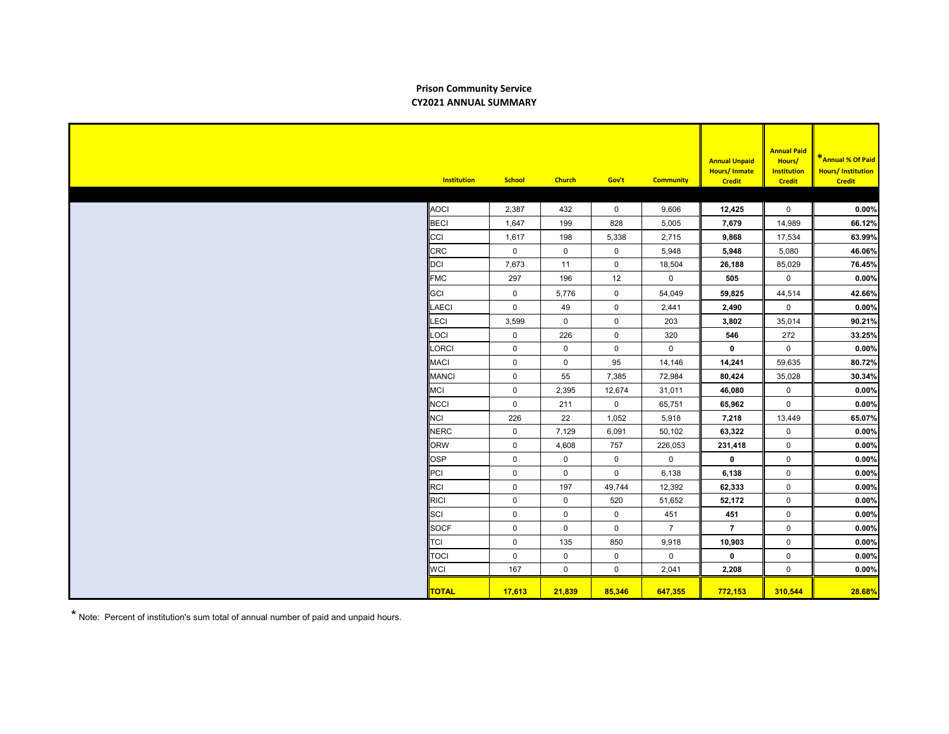## **Prison Community Service CY2021 ANNUAL SUMMARY**

| <b>Institution</b> | <b>School</b> | <b>Church</b> | Gov't               | <b>Community</b>    | <b>Annual Unpaid</b><br><b>Hours/Inmate</b><br><b>Credit</b> | <b>Annual Paid</b><br>Hours/<br><b>Institution</b><br><b>Credit</b> | *Annual % Of Paid<br><b>Hours/Institution</b><br><b>Credit</b> |
|--------------------|---------------|---------------|---------------------|---------------------|--------------------------------------------------------------|---------------------------------------------------------------------|----------------------------------------------------------------|
|                    |               |               |                     |                     |                                                              |                                                                     |                                                                |
| <b>AOCI</b>        | 2,387         | 432           | $\mathbf 0$         | 9,606               | 12,425                                                       | $\mathbf 0$                                                         | 0.00%                                                          |
| BECI               | 1,647         | 199           | 828                 | 5,005               | 7,679                                                        | 14,989                                                              | 66.12%                                                         |
| CCI                | 1,617         | 198           | 5,338               | 2,715               | 9,868                                                        | 17,534                                                              | 63.99%                                                         |
| <b>CRC</b>         | $\mathbf 0$   | $\mathbf 0$   | $\mathbf 0$         | 5,948               | 5,948                                                        | 5,080                                                               | 46.06%                                                         |
| DCI                | 7,673         | 11            | $\mathbf 0$         | 18,504              | 26,188                                                       | 85,029                                                              | 76.45%                                                         |
| <b>FMC</b>         | 297           | 196           | 12                  | $\mathbf 0$         | 505                                                          | $\mathbf 0$                                                         | 0.00%                                                          |
| GCI                | 0             | 5,776         | $\mathsf{O}\xspace$ | 54,049              | 59,825                                                       | 44,514                                                              | 42.66%                                                         |
| <b>LAECI</b>       | $\mathsf 0$   | 49            | $\mathsf 0$         | 2,441               | 2,490                                                        | $\mathbf 0$                                                         | 0.00%                                                          |
| LECI               | 3,599         | $\mathbf 0$   | $\mathbf 0$         | 203                 | 3,802                                                        | 35,014                                                              | 90.21%                                                         |
| LOCI               | $\mathbf 0$   | 226           | $\mathsf{O}\xspace$ | 320                 | 546                                                          | 272                                                                 | 33.25%                                                         |
| LORCI              | $\mathbf 0$   | $\mathbf 0$   | $\mathbf 0$         | $\mathbf 0$         | $\mathbf 0$                                                  | $\mathbf 0$                                                         | 0.00%                                                          |
| <b>MACI</b>        | $\mathsf{O}$  | $\mathbf 0$   | 95                  | 14,146              | 14,241                                                       | 59,635                                                              | 80.72%                                                         |
| <b>MANCI</b>       | 0             | 55            | 7,385               | 72,984              | 80,424                                                       | 35,028                                                              | 30.34%                                                         |
| MCI                | $\mathsf 0$   | 2,395         | 12,674              | 31,011              | 46,080                                                       | $\mathbf 0$                                                         | 0.00%                                                          |
| NCCI               | 0             | 211           | $\mathbf 0$         | 65,751              | 65,962                                                       | $\mathsf{O}\xspace$                                                 | 0.00%                                                          |
| <b>NCI</b>         | 226           | 22            | 1,052               | 5,918               | 7,218                                                        | 13,449                                                              | 65.07%                                                         |
| <b>NERC</b>        | 0             | 7,129         | 6,091               | 50,102              | 63,322                                                       | $\mathbf 0$                                                         | 0.00%                                                          |
| <b>ORW</b>         | 0             | 4,608         | 757                 | 226,053             | 231,418                                                      | $\mathbf 0$                                                         | 0.00%                                                          |
| OSP                | 0             | $\mathbf 0$   | $\mathbf 0$         | $\mathsf{O}\xspace$ | $\mathbf 0$                                                  | $\mathsf 0$                                                         | 0.00%                                                          |
| PCI                | 0             | $\mathsf{O}$  | $\mathbf 0$         | 6,138               | 6,138                                                        | $\mathbf 0$                                                         | 0.00%                                                          |
| RCI                | $\mathsf 0$   | 197           | 49,744              | 12,392              | 62,333                                                       | $\mathbf 0$                                                         | 0.00%                                                          |
| RICI               | 0             | $\mathbf 0$   | 520                 | 51,652              | 52,172                                                       | $\mathbf 0$                                                         | 0.00%                                                          |
| SCI                | 0             | $\mathbf 0$   | $\mathsf 0$         | 451                 | 451                                                          | $\mathbf 0$                                                         | 0.00%                                                          |
| <b>SOCF</b>        | 0             | $\mathbf 0$   | $\mathbf 0$         | $\overline{7}$      | $\overline{7}$                                               | $\mathbf 0$                                                         | 0.00%                                                          |
| TCI                | 0             | 135           | 850                 | 9,918               | 10,903                                                       | $\mathbf 0$                                                         | 0.00%                                                          |
| <b>TOCI</b>        | 0             | $\mathbf 0$   | $\mathbf 0$         | $\pmb{0}$           | $\mathbf 0$                                                  | $\mathsf 0$                                                         | 0.00%                                                          |
| <b>WCI</b>         | 167           | $\mathsf{O}$  | $\mathsf 0$         | 2,041               | 2,208                                                        | $\mathbf 0$                                                         | 0.00%                                                          |
| <b>TOTAL</b>       | 17,613        | 21,839        | 85,346              | 647,355             | 772,153                                                      | 310,544                                                             | 28.68%                                                         |

\* Note: Percent of institution's sum total of annual number of paid and unpaid hours.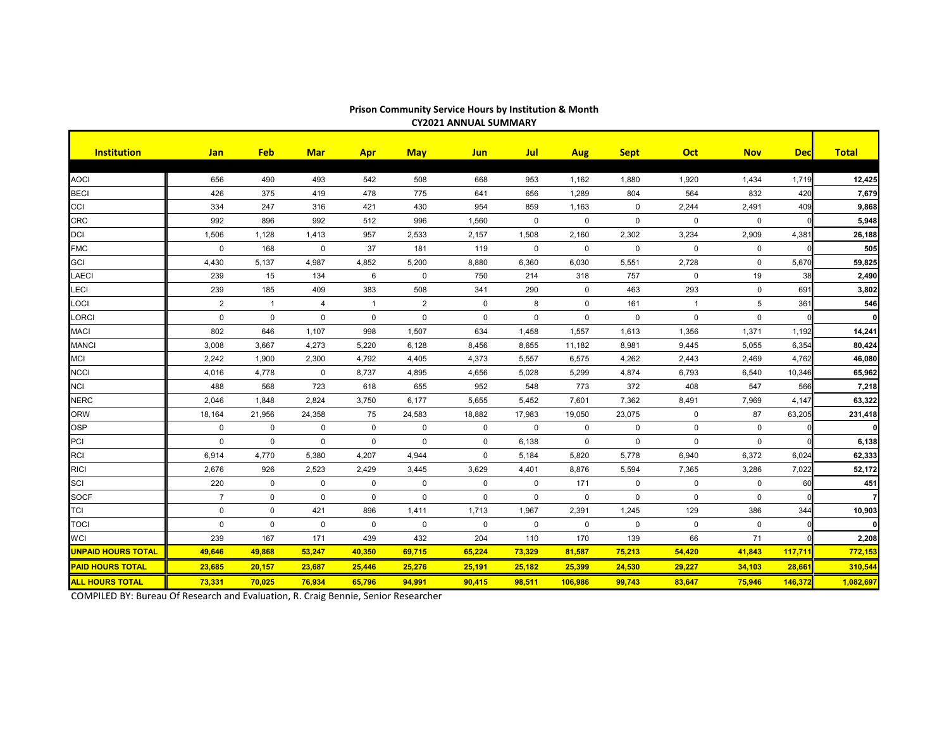| <b>Institution</b>        | <b>Jan</b>     | <b>Feb</b>     | <b>Mar</b>          | <b>Apr</b>   | <b>May</b>  | <b>Jun</b>   | <b>Jul</b>     | <b>Aug</b>   | <b>Sept</b> | <b>Oct</b>     | <b>Nov</b>      | <b>Dec</b> | <b>Total</b>   |
|---------------------------|----------------|----------------|---------------------|--------------|-------------|--------------|----------------|--------------|-------------|----------------|-----------------|------------|----------------|
|                           |                |                |                     |              |             |              |                |              |             |                |                 |            |                |
| <b>AOCI</b>               | 656            | 490            | 493                 | 542          | 508         | 668          | 953            | 1,162        | 1,880       | 1,920          | 1,434           | 1,719      | 12,425         |
| <b>BECI</b>               | 426            | 375            | 419                 | 478          | 775         | 641          | 656            | 1,289        | 804         | 564            | 832             | 420        | 7,679          |
| CCI                       | 334            | 247            | 316                 | 421          | 430         | 954          | 859            | 1,163        | $\mathbf 0$ | 2,244          | 2,491           | 409        | 9,868          |
| <b>CRC</b>                | 992            | 896            | 992                 | 512          | 996         | 1,560        | $\mathbf 0$    | $\mathbf 0$  | $\mathbf 0$ | $\mathsf{O}$   | $\mathbf{0}$    |            | 5,948          |
| <b>DCI</b>                | 1,506          | 1,128          | 1,413               | 957          | 2,533       | 2,157        | 1,508          | 2,160        | 2,302       | 3,234          | 2,909           | 4,381      | 26,188         |
| <b>FMC</b>                | $\mathbf{0}$   | 168            | $\mathbf 0$         | 37           | 181         | 119          | $\mathbf 0$    | $\mathbf{0}$ | $\mathbf 0$ | $\mathbf{0}$   | $\mathbf 0$     |            | 505            |
| <b>GCI</b>                | 4,430          | 5,137          | 4,987               | 4,852        | 5,200       | 8,880        | 6,360          | 6,030        | 5,551       | 2,728          | $\mathbf 0$     | 5,670      | 59,825         |
| LAECI                     | 239            | 15             | 134                 | 6            | $\mathbf 0$ | 750          | 214            | 318          | 757         | $\mathbf 0$    | 19              | 38         | 2,490          |
| LECI                      | 239            | 185            | 409                 | 383          | 508         | 341          | 290            | $\mathbf 0$  | 463         | 293            | $\mathbf 0$     | 691        | 3,802          |
| LOCI                      | $\mathbf{2}$   | $\overline{1}$ | 4                   | $\mathbf{1}$ | 2           | $\mathbf 0$  | 8              | $\mathbf 0$  | 161         | $\overline{1}$ | $5\phantom{.0}$ | 361        | 546            |
| LORCI                     | $\mathbf 0$    | $\mathbf 0$    | $\mathbf{0}$        | $\mathbf 0$  | $\mathbf 0$ | $\mathbf 0$  | $\mathbf 0$    | $\mathbf 0$  | $\mathbf 0$ | $\mathsf{O}$   | $\mathbf 0$     |            | $\mathbf{0}$   |
| <b>MACI</b>               | 802            | 646            | 1,107               | 998          | 1,507       | 634          | 1,458          | 1,557        | 1,613       | 1,356          | 1,371           | 1,192      | 14,241         |
| <b>MANCI</b>              | 3,008          | 3,667          | 4,273               | 5,220        | 6,128       | 8,456        | 8,655          | 11,182       | 8,981       | 9,445          | 5,055           | 6,354      | 80,424         |
| <b>MCI</b>                | 2,242          | 1,900          | 2,300               | 4,792        | 4,405       | 4,373        | 5,557          | 6,575        | 4,262       | 2,443          | 2,469           | 4,762      | 46,080         |
| <b>NCCI</b>               | 4,016          | 4,778          | $\mathbf{0}$        | 8,737        | 4,895       | 4,656        | 5,028          | 5,299        | 4,874       | 6,793          | 6,540           | 10,346     | 65,962         |
| <b>NCI</b>                | 488            | 568            | 723                 | 618          | 655         | 952          | 548            | 773          | 372         | 408            | 547             | 566        | 7,218          |
| <b>NERC</b>               | 2,046          | 1,848          | 2,824               | 3,750        | 6,177       | 5,655        | 5,452          | 7,601        | 7,362       | 8,491          | 7,969           | 4,147      | 63,322         |
| <b>ORW</b>                | 18,164         | 21,956         | 24,358              | 75           | 24,583      | 18,882       | 17,983         | 19,050       | 23,075      | $\mathbf 0$    | 87              | 63,205     | 231,418        |
| <b>OSP</b>                | $\mathbf 0$    | $\mathbf{0}$   | $\mathbf{0}$        | $\mathbf 0$  | $\Omega$    | $\mathbf{0}$ | $\overline{0}$ | $\mathbf 0$  | $\Omega$    | $\mathbf 0$    | $\mathbf 0$     |            | $\mathbf{0}$   |
| PCI                       | $\mathbf 0$    | $\mathbf 0$    | $\mathbf 0$         | $\mathbf 0$  | $\mathbf 0$ | $\mathbf 0$  | 6,138          | $\mathbf 0$  | $\mathbf 0$ | $\mathbf 0$    | $\mathbf 0$     |            | 6,138          |
| <b>RCI</b>                | 6,914          | 4,770          | 5,380               | 4,207        | 4,944       | $\mathbf 0$  | 5,184          | 5,820        | 5,778       | 6,940          | 6,372           | 6,024      | 62,333         |
| <b>RICI</b>               | 2,676          | 926            | 2,523               | 2,429        | 3,445       | 3,629        | 4,401          | 8,876        | 5,594       | 7,365          | 3,286           | 7,022      | 52,172         |
| SCI                       | 220            | $\mathbf 0$    | $\mathbf 0$         | $\mathbf 0$  | $\Omega$    | $\mathbf 0$  | $\mathbf 0$    | 171          | $\mathbf 0$ | $\mathbf 0$    | $\mathbf 0$     | 60         | 451            |
| <b>SOCF</b>               | $\overline{7}$ | $\mathbf 0$    | $\mathsf{O}\xspace$ | $\mathbf 0$  | $\mathbf 0$ | $\mathbf 0$  | $\mathbf 0$    | $\mathbf 0$  | $\mathbf 0$ | $\mathbf 0$    | $\mathbf 0$     |            | $\overline{7}$ |
| <b>TCI</b>                | $\mathsf 0$    | $\pmb{0}$      | 421                 | 896          | 1,411       | 1,713        | 1,967          | 2,391        | 1,245       | 129            | 386             | 344        | 10,903         |
| TOCI                      | $\mathbf 0$    | $\mathbf 0$    | $\mathbf 0$         | $\mathbf 0$  | $\Omega$    | $\mathbf 0$  | $\mathbf 0$    | $\mathbf{0}$ | $\mathbf 0$ | $\mathbf 0$    | $\mathbf{0}$    |            | $\mathbf{0}$   |
| WCI                       | 239            | 167            | 171                 | 439          | 432         | 204          | 110            | 170          | 139         | 66             | 71              |            | 2,208          |
| <b>UNPAID HOURS TOTAL</b> | 49,646         | 49,868         | 53,247              | 40,350       | 69,715      | 65,224       | 73,329         | 81,587       | 75,213      | 54,420         | 41,843          | 117,711    | 772,153        |
| <b>PAID HOURS TOTAL</b>   | 23,685         | 20,157         | 23,687              | 25,446       | 25,276      | 25,191       | 25,182         | 25,399       | 24,530      | 29,227         | 34,103          | 28,661     | 310,544        |
| <b>ALL HOURS TOTAL</b>    | 73,331         | 70,025         | 76,934              | 65,796       | 94,991      | 90,415       | 98,511         | 106,986      | 99,743      | 83,647         | 75,946          | 146,372    | 1,082,697      |

**Prison Community Service Hours by Institution & Month CY2021 ANNUAL SUMMARY**

COMPILED BY: Bureau Of Research and Evaluation, R. Craig Bennie, Senior Researcher